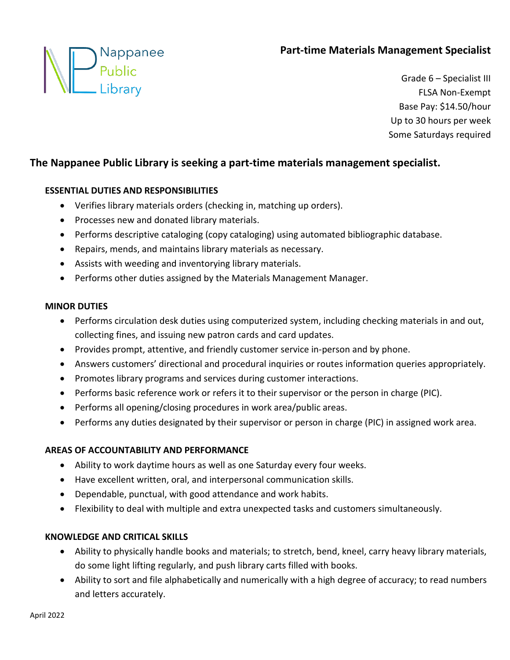# **Part-time Materials Management Specialist**



Grade 6 – Specialist III FLSA Non-Exempt Base Pay: \$14.50/hour Up to 30 hours per week Some Saturdays required

## **The Nappanee Public Library is seeking a part-time materials management specialist.**

### **ESSENTIAL DUTIES AND RESPONSIBILITIES**

- Verifies library materials orders (checking in, matching up orders).
- Processes new and donated library materials.
- Performs descriptive cataloging (copy cataloging) using automated bibliographic database.
- Repairs, mends, and maintains library materials as necessary.
- Assists with weeding and inventorying library materials.
- Performs other duties assigned by the Materials Management Manager.

#### **MINOR DUTIES**

- Performs circulation desk duties using computerized system, including checking materials in and out, collecting fines, and issuing new patron cards and card updates.
- Provides prompt, attentive, and friendly customer service in-person and by phone.
- Answers customers' directional and procedural inquiries or routes information queries appropriately.
- Promotes library programs and services during customer interactions.
- Performs basic reference work or refers it to their supervisor or the person in charge (PIC).
- Performs all opening/closing procedures in work area/public areas.
- Performs any duties designated by their supervisor or person in charge (PIC) in assigned work area.

### **AREAS OF ACCOUNTABILITY AND PERFORMANCE**

- Ability to work daytime hours as well as one Saturday every four weeks.
- Have excellent written, oral, and interpersonal communication skills.
- Dependable, punctual, with good attendance and work habits.
- Flexibility to deal with multiple and extra unexpected tasks and customers simultaneously.

### **KNOWLEDGE AND CRITICAL SKILLS**

- Ability to physically handle books and materials; to stretch, bend, kneel, carry heavy library materials, do some light lifting regularly, and push library carts filled with books.
- Ability to sort and file alphabetically and numerically with a high degree of accuracy; to read numbers and letters accurately.